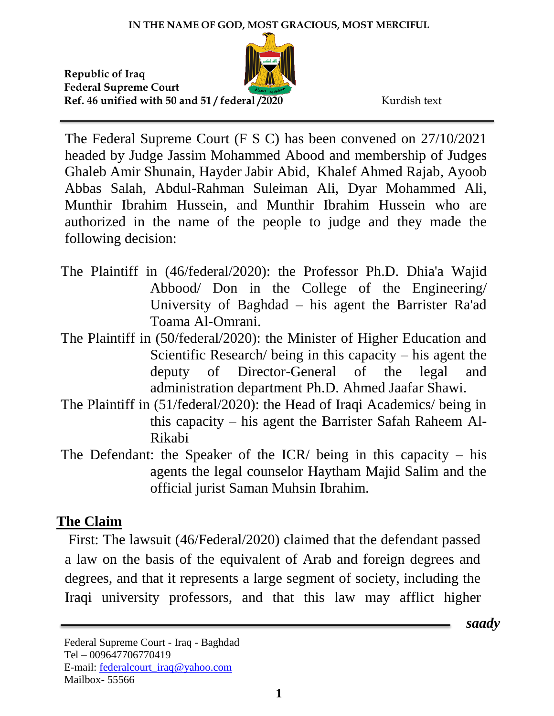*saady*

The Federal Supreme Court (F S C) has been convened on 27/10/2021 headed by Judge Jassim Mohammed Abood and membership of Judges Ghaleb Amir Shunain, Hayder Jabir Abid, Khalef Ahmed Rajab, Ayoob Abbas Salah, Abdul-Rahman Suleiman Ali, Dyar Mohammed Ali, Munthir Ibrahim Hussein, and Munthir Ibrahim Hussein who are authorized in the name of the people to judge and they made the following decision:

- The Plaintiff in (46/federal/2020): the Professor Ph.D. Dhia'a Wajid Abbood/ Don in the College of the Engineering/ University of Baghdad – his agent the Barrister Ra'ad Toama Al-Omrani.
- The Plaintiff in (50/federal/2020): the Minister of Higher Education and Scientific Research/ being in this capacity – his agent the deputy of Director-General of the legal and administration department Ph.D. Ahmed Jaafar Shawi.
- The Plaintiff in (51/federal/2020): the Head of Iraqi Academics/ being in this capacity – his agent the Barrister Safah Raheem Al-Rikabi
- The Defendant: the Speaker of the  $ICR/$  being in this capacity his agents the legal counselor Haytham Majid Salim and the official jurist Saman Muhsin Ibrahim.

## **The Claim**

First: The lawsuit (46/Federal/2020) claimed that the defendant passed a law on the basis of the equivalent of Arab and foreign degrees and degrees, and that it represents a large segment of society, including the Iraqi university professors, and that this law may afflict higher

Federal Supreme Court - Iraq - Baghdad Tel – 009647706770419 E-mail: [federalcourt\\_iraq@yahoo.com](mailto:federalcourt_iraq@yahoo.com) Mailbox- 55566

**1**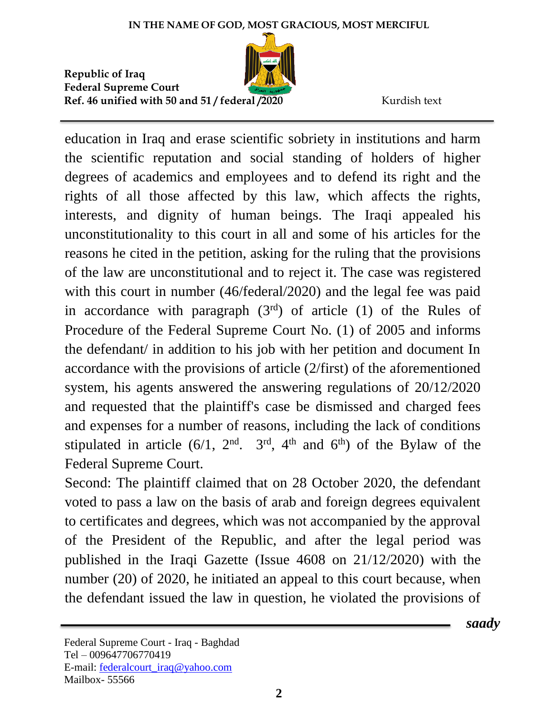

education in Iraq and erase scientific sobriety in institutions and harm the scientific reputation and social standing of holders of higher degrees of academics and employees and to defend its right and the rights of all those affected by this law, which affects the rights, interests, and dignity of human beings. The Iraqi appealed his unconstitutionality to this court in all and some of his articles for the reasons he cited in the petition, asking for the ruling that the provisions of the law are unconstitutional and to reject it. The case was registered with this court in number (46/federal/2020) and the legal fee was paid in accordance with paragraph  $(3<sup>rd</sup>)$  of article  $(1)$  of the Rules of Procedure of the Federal Supreme Court No. (1) of 2005 and informs the defendant/ in addition to his job with her petition and document In accordance with the provisions of article (2/first) of the aforementioned system, his agents answered the answering regulations of 20/12/2020 and requested that the plaintiff's case be dismissed and charged fees and expenses for a number of reasons, including the lack of conditions stipulated in article  $(6/1, 2<sup>nd</sup>, 3<sup>rd</sup>, 4<sup>th</sup>$  and  $6<sup>th</sup>$ ) of the Bylaw of the Federal Supreme Court.

Second: The plaintiff claimed that on 28 October 2020, the defendant voted to pass a law on the basis of arab and foreign degrees equivalent to certificates and degrees, which was not accompanied by the approval of the President of the Republic, and after the legal period was published in the Iraqi Gazette (Issue 4608 on 21/12/2020) with the number (20) of 2020, he initiated an appeal to this court because, when the defendant issued the law in question, he violated the provisions of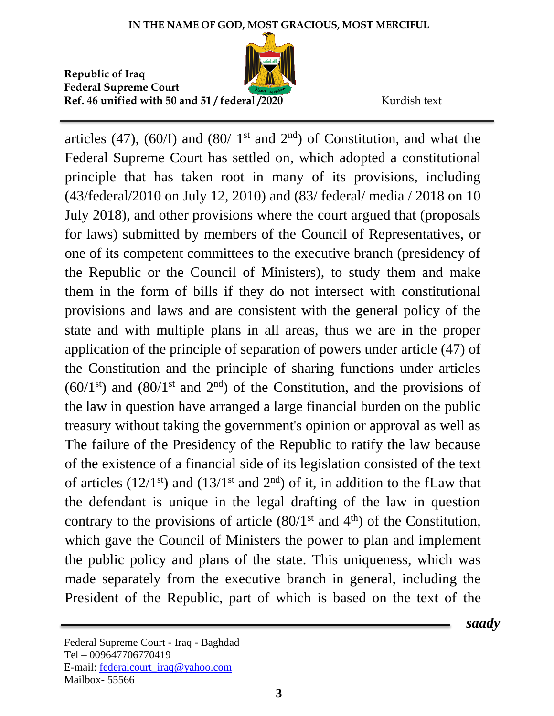

articles (47), (60/I) and (80/ 1<sup>st</sup> and  $2<sup>nd</sup>$ ) of Constitution, and what the Federal Supreme Court has settled on, which adopted a constitutional principle that has taken root in many of its provisions, including (43/federal/2010 on July 12, 2010) and (83/ federal/ media / 2018 on 10 July 2018), and other provisions where the court argued that (proposals for laws) submitted by members of the Council of Representatives, or one of its competent committees to the executive branch (presidency of the Republic or the Council of Ministers), to study them and make them in the form of bills if they do not intersect with constitutional provisions and laws and are consistent with the general policy of the state and with multiple plans in all areas, thus we are in the proper application of the principle of separation of powers under article (47) of the Constitution and the principle of sharing functions under articles  $(60/1<sup>st</sup>)$  and  $(80/1<sup>st</sup>$  and  $2<sup>nd</sup>)$  of the Constitution, and the provisions of the law in question have arranged a large financial burden on the public treasury without taking the government's opinion or approval as well as The failure of the Presidency of the Republic to ratify the law because of the existence of a financial side of its legislation consisted of the text of articles  $(12/1<sup>st</sup>)$  and  $(13/1<sup>st</sup>$  and  $2<sup>nd</sup>)$  of it, in addition to the fLaw that the defendant is unique in the legal drafting of the law in question contrary to the provisions of article  $(80/1<sup>st</sup>$  and  $4<sup>th</sup>)$  of the Constitution, which gave the Council of Ministers the power to plan and implement the public policy and plans of the state. This uniqueness, which was made separately from the executive branch in general, including the President of the Republic, part of which is based on the text of the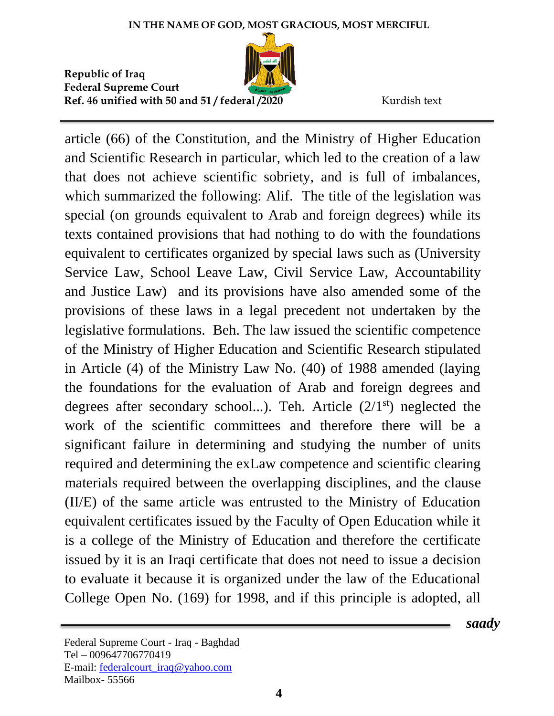

article (66) of the Constitution, and the Ministry of Higher Education and Scientific Research in particular, which led to the creation of a law that does not achieve scientific sobriety, and is full of imbalances, which summarized the following: Alif. The title of the legislation was special (on grounds equivalent to Arab and foreign degrees) while its texts contained provisions that had nothing to do with the foundations equivalent to certificates organized by special laws such as (University Service Law, School Leave Law, Civil Service Law, Accountability and Justice Law) and its provisions have also amended some of the provisions of these laws in a legal precedent not undertaken by the legislative formulations. Beh. The law issued the scientific competence of the Ministry of Higher Education and Scientific Research stipulated in Article (4) of the Ministry Law No. (40) of 1988 amended (laying the foundations for the evaluation of Arab and foreign degrees and degrees after secondary school...). Teh. Article  $(2/1<sup>st</sup>)$  neglected the work of the scientific committees and therefore there will be a significant failure in determining and studying the number of units required and determining the exLaw competence and scientific clearing materials required between the overlapping disciplines, and the clause (II/E) of the same article was entrusted to the Ministry of Education equivalent certificates issued by the Faculty of Open Education while it is a college of the Ministry of Education and therefore the certificate issued by it is an Iraqi certificate that does not need to issue a decision to evaluate it because it is organized under the law of the Educational College Open No. (169) for 1998, and if this principle is adopted, all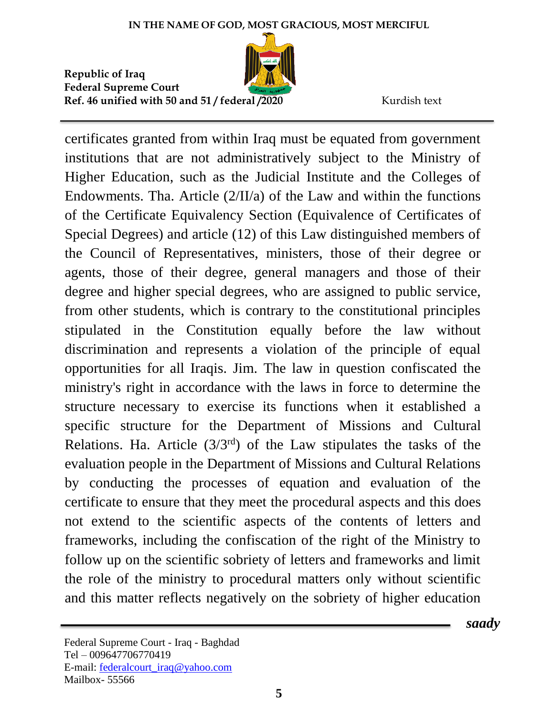

certificates granted from within Iraq must be equated from government institutions that are not administratively subject to the Ministry of Higher Education, such as the Judicial Institute and the Colleges of Endowments. Tha. Article (2/II/a) of the Law and within the functions of the Certificate Equivalency Section (Equivalence of Certificates of Special Degrees) and article (12) of this Law distinguished members of the Council of Representatives, ministers, those of their degree or agents, those of their degree, general managers and those of their degree and higher special degrees, who are assigned to public service, from other students, which is contrary to the constitutional principles stipulated in the Constitution equally before the law without discrimination and represents a violation of the principle of equal opportunities for all Iraqis. Jim. The law in question confiscated the ministry's right in accordance with the laws in force to determine the structure necessary to exercise its functions when it established a specific structure for the Department of Missions and Cultural Relations. Ha. Article  $(3/3^{rd})$  of the Law stipulates the tasks of the evaluation people in the Department of Missions and Cultural Relations by conducting the processes of equation and evaluation of the certificate to ensure that they meet the procedural aspects and this does not extend to the scientific aspects of the contents of letters and frameworks, including the confiscation of the right of the Ministry to follow up on the scientific sobriety of letters and frameworks and limit the role of the ministry to procedural matters only without scientific and this matter reflects negatively on the sobriety of higher education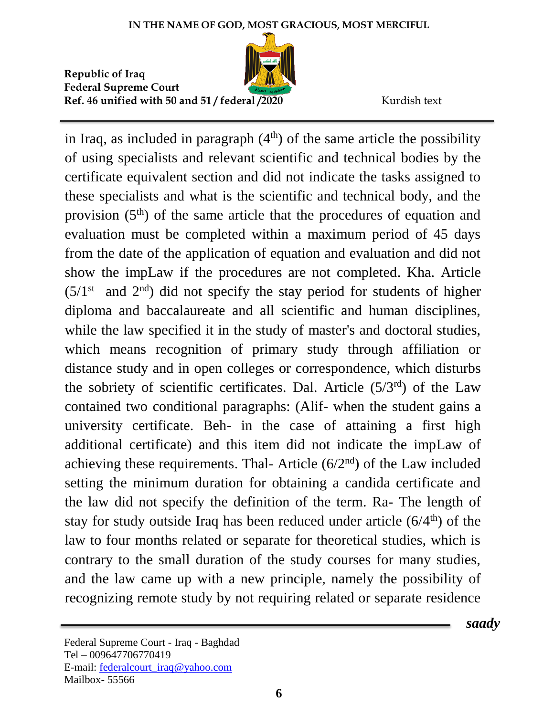

in Iraq, as included in paragraph  $(4<sup>th</sup>)$  of the same article the possibility of using specialists and relevant scientific and technical bodies by the certificate equivalent section and did not indicate the tasks assigned to these specialists and what is the scientific and technical body, and the provision  $(5<sup>th</sup>)$  of the same article that the procedures of equation and evaluation must be completed within a maximum period of 45 days from the date of the application of equation and evaluation and did not show the impLaw if the procedures are not completed. Kha. Article  $(5/1<sup>st</sup>$  and  $2<sup>nd</sup>)$  did not specify the stay period for students of higher diploma and baccalaureate and all scientific and human disciplines, while the law specified it in the study of master's and doctoral studies, which means recognition of primary study through affiliation or distance study and in open colleges or correspondence, which disturbs the sobriety of scientific certificates. Dal. Article (5/3rd) of the Law contained two conditional paragraphs: (Alif- when the student gains a university certificate. Beh- in the case of attaining a first high additional certificate) and this item did not indicate the impLaw of achieving these requirements. Thal- Article  $(6/2<sup>nd</sup>)$  of the Law included setting the minimum duration for obtaining a candida certificate and the law did not specify the definition of the term. Ra- The length of stay for study outside Iraq has been reduced under article  $(6/4<sup>th</sup>)$  of the law to four months related or separate for theoretical studies, which is contrary to the small duration of the study courses for many studies, and the law came up with a new principle, namely the possibility of recognizing remote study by not requiring related or separate residence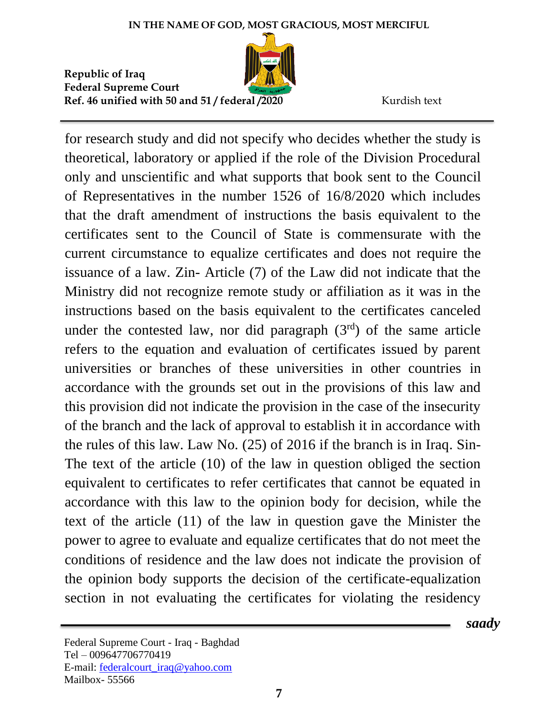

for research study and did not specify who decides whether the study is theoretical, laboratory or applied if the role of the Division Procedural only and unscientific and what supports that book sent to the Council of Representatives in the number 1526 of 16/8/2020 which includes that the draft amendment of instructions the basis equivalent to the certificates sent to the Council of State is commensurate with the current circumstance to equalize certificates and does not require the issuance of a law. Zin- Article (7) of the Law did not indicate that the Ministry did not recognize remote study or affiliation as it was in the instructions based on the basis equivalent to the certificates canceled under the contested law, nor did paragraph  $(3<sup>rd</sup>)$  of the same article refers to the equation and evaluation of certificates issued by parent universities or branches of these universities in other countries in accordance with the grounds set out in the provisions of this law and this provision did not indicate the provision in the case of the insecurity of the branch and the lack of approval to establish it in accordance with the rules of this law. Law No. (25) of 2016 if the branch is in Iraq. Sin-The text of the article (10) of the law in question obliged the section equivalent to certificates to refer certificates that cannot be equated in accordance with this law to the opinion body for decision, while the text of the article (11) of the law in question gave the Minister the power to agree to evaluate and equalize certificates that do not meet the conditions of residence and the law does not indicate the provision of the opinion body supports the decision of the certificate-equalization section in not evaluating the certificates for violating the residency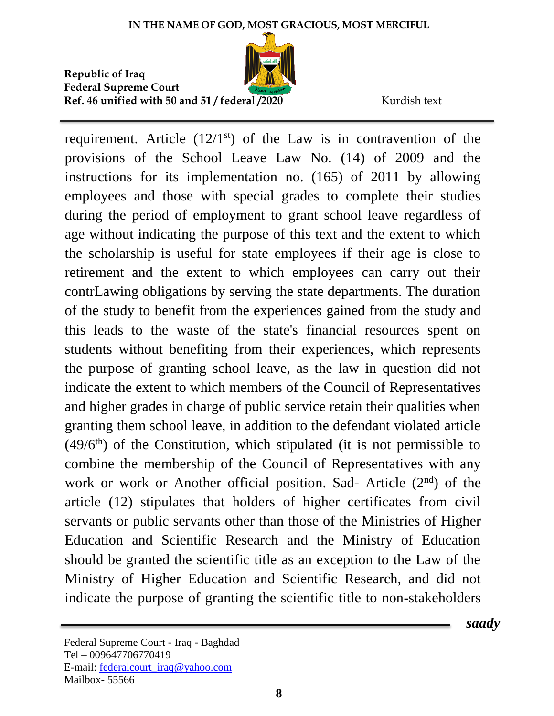

requirement. Article  $(12/1<sup>st</sup>)$  of the Law is in contravention of the provisions of the School Leave Law No. (14) of 2009 and the instructions for its implementation no. (165) of 2011 by allowing employees and those with special grades to complete their studies during the period of employment to grant school leave regardless of age without indicating the purpose of this text and the extent to which the scholarship is useful for state employees if their age is close to retirement and the extent to which employees can carry out their contrLawing obligations by serving the state departments. The duration of the study to benefit from the experiences gained from the study and this leads to the waste of the state's financial resources spent on students without benefiting from their experiences, which represents the purpose of granting school leave, as the law in question did not indicate the extent to which members of the Council of Representatives and higher grades in charge of public service retain their qualities when granting them school leave, in addition to the defendant violated article  $(49/6<sup>th</sup>)$  of the Constitution, which stipulated (it is not permissible to combine the membership of the Council of Representatives with any work or work or Another official position. Sad- Article (2<sup>nd</sup>) of the article (12) stipulates that holders of higher certificates from civil servants or public servants other than those of the Ministries of Higher Education and Scientific Research and the Ministry of Education should be granted the scientific title as an exception to the Law of the Ministry of Higher Education and Scientific Research, and did not indicate the purpose of granting the scientific title to non-stakeholders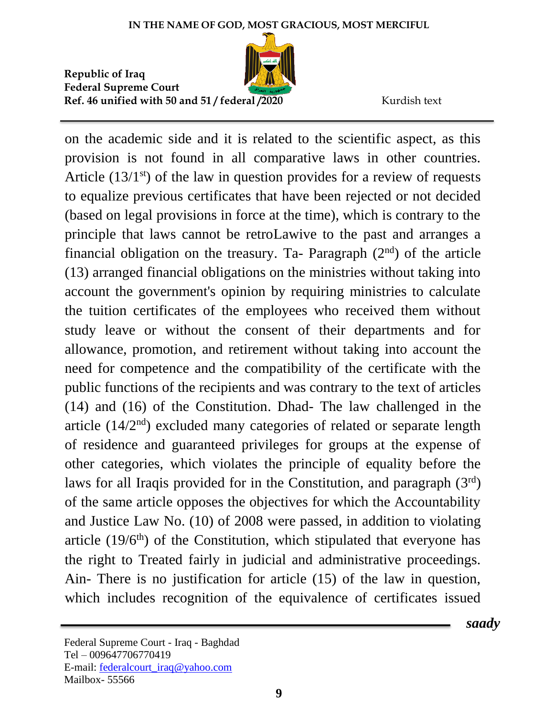

on the academic side and it is related to the scientific aspect, as this provision is not found in all comparative laws in other countries. Article  $(13/1<sup>st</sup>)$  of the law in question provides for a review of requests to equalize previous certificates that have been rejected or not decided (based on legal provisions in force at the time), which is contrary to the principle that laws cannot be retroLawive to the past and arranges a financial obligation on the treasury. Ta- Paragraph  $(2<sup>nd</sup>)$  of the article (13) arranged financial obligations on the ministries without taking into account the government's opinion by requiring ministries to calculate the tuition certificates of the employees who received them without study leave or without the consent of their departments and for allowance, promotion, and retirement without taking into account the need for competence and the compatibility of the certificate with the public functions of the recipients and was contrary to the text of articles (14) and (16) of the Constitution. Dhad- The law challenged in the article  $(14/2<sup>nd</sup>)$  excluded many categories of related or separate length of residence and guaranteed privileges for groups at the expense of other categories, which violates the principle of equality before the laws for all Iraqis provided for in the Constitution, and paragraph  $(3<sup>rd</sup>)$ of the same article opposes the objectives for which the Accountability and Justice Law No. (10) of 2008 were passed, in addition to violating article  $(19/6<sup>th</sup>)$  of the Constitution, which stipulated that everyone has the right to Treated fairly in judicial and administrative proceedings. Ain- There is no justification for article (15) of the law in question, which includes recognition of the equivalence of certificates issued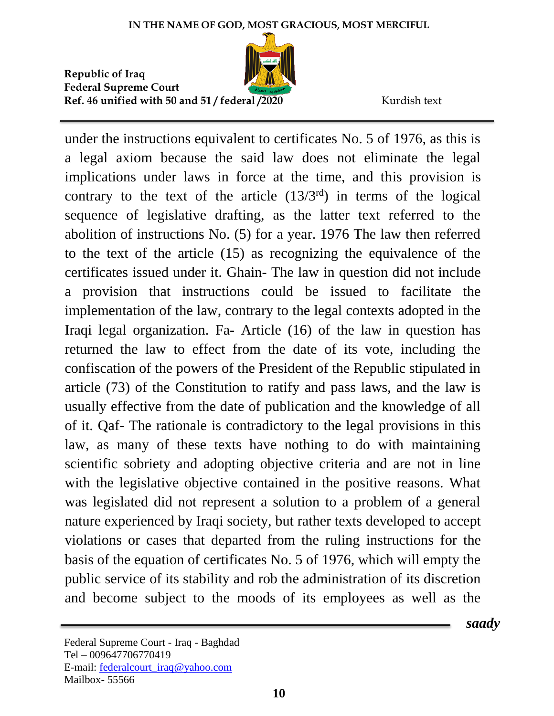

 *saady*

under the instructions equivalent to certificates No. 5 of 1976, as this is a legal axiom because the said law does not eliminate the legal implications under laws in force at the time, and this provision is contrary to the text of the article  $(13/3<sup>rd</sup>)$  in terms of the logical sequence of legislative drafting, as the latter text referred to the abolition of instructions No. (5) for a year. 1976 The law then referred to the text of the article (15) as recognizing the equivalence of the certificates issued under it. Ghain- The law in question did not include a provision that instructions could be issued to facilitate the implementation of the law, contrary to the legal contexts adopted in the Iraqi legal organization. Fa- Article (16) of the law in question has returned the law to effect from the date of its vote, including the confiscation of the powers of the President of the Republic stipulated in article (73) of the Constitution to ratify and pass laws, and the law is usually effective from the date of publication and the knowledge of all of it. Qaf- The rationale is contradictory to the legal provisions in this law, as many of these texts have nothing to do with maintaining scientific sobriety and adopting objective criteria and are not in line with the legislative objective contained in the positive reasons. What was legislated did not represent a solution to a problem of a general nature experienced by Iraqi society, but rather texts developed to accept violations or cases that departed from the ruling instructions for the basis of the equation of certificates No. 5 of 1976, which will empty the public service of its stability and rob the administration of its discretion and become subject to the moods of its employees as well as the

Federal Supreme Court - Iraq - Baghdad Tel – 009647706770419 E-mail: [federalcourt\\_iraq@yahoo.com](mailto:federalcourt_iraq@yahoo.com) Mailbox- 55566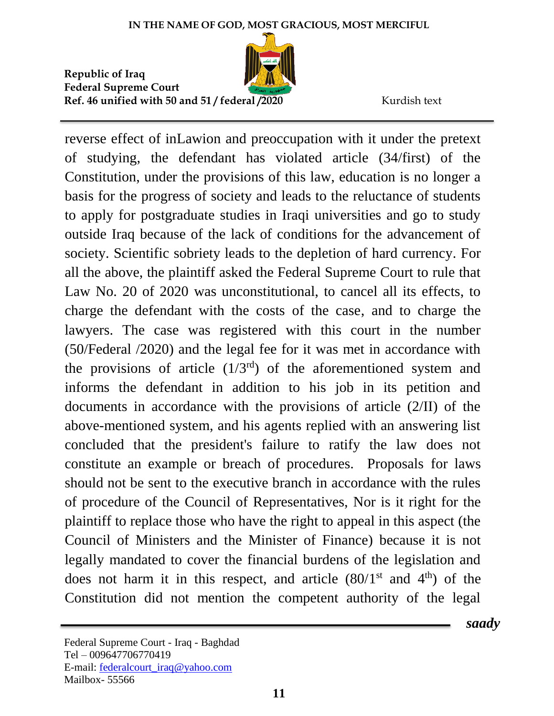

reverse effect of inLawion and preoccupation with it under the pretext of studying, the defendant has violated article (34/first) of the Constitution, under the provisions of this law, education is no longer a basis for the progress of society and leads to the reluctance of students to apply for postgraduate studies in Iraqi universities and go to study outside Iraq because of the lack of conditions for the advancement of society. Scientific sobriety leads to the depletion of hard currency. For all the above, the plaintiff asked the Federal Supreme Court to rule that Law No. 20 of 2020 was unconstitutional, to cancel all its effects, to charge the defendant with the costs of the case, and to charge the lawyers. The case was registered with this court in the number (50/Federal /2020) and the legal fee for it was met in accordance with the provisions of article  $(1/3<sup>rd</sup>)$  of the aforementioned system and informs the defendant in addition to his job in its petition and documents in accordance with the provisions of article (2/II) of the above-mentioned system, and his agents replied with an answering list concluded that the president's failure to ratify the law does not constitute an example or breach of procedures. Proposals for laws should not be sent to the executive branch in accordance with the rules of procedure of the Council of Representatives, Nor is it right for the plaintiff to replace those who have the right to appeal in this aspect (the Council of Ministers and the Minister of Finance) because it is not legally mandated to cover the financial burdens of the legislation and does not harm it in this respect, and article  $(80/1<sup>st</sup>$  and  $4<sup>th</sup>)$  of the Constitution did not mention the competent authority of the legal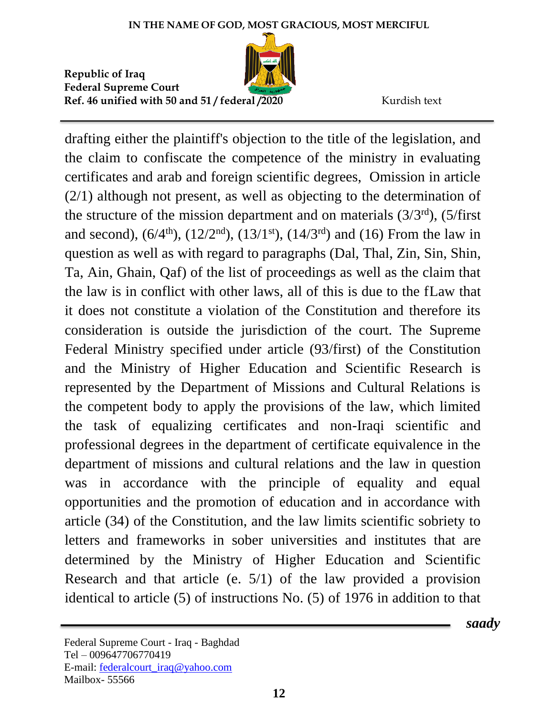

drafting either the plaintiff's objection to the title of the legislation, and the claim to confiscate the competence of the ministry in evaluating certificates and arab and foreign scientific degrees, Omission in article (2/1) although not present, as well as objecting to the determination of the structure of the mission department and on materials  $(3/3<sup>rd</sup>)$ ,  $(5/first$ and second),  $(6/4^{\text{th}})$ ,  $(12/2^{\text{nd}})$ ,  $(13/1^{\text{st}})$ ,  $(14/3^{\text{rd}})$  and  $(16)$  From the law in question as well as with regard to paragraphs (Dal, Thal, Zin, Sin, Shin, Ta, Ain, Ghain, Qaf) of the list of proceedings as well as the claim that the law is in conflict with other laws, all of this is due to the fLaw that it does not constitute a violation of the Constitution and therefore its consideration is outside the jurisdiction of the court. The Supreme Federal Ministry specified under article (93/first) of the Constitution and the Ministry of Higher Education and Scientific Research is represented by the Department of Missions and Cultural Relations is the competent body to apply the provisions of the law, which limited the task of equalizing certificates and non-Iraqi scientific and professional degrees in the department of certificate equivalence in the department of missions and cultural relations and the law in question was in accordance with the principle of equality and equal opportunities and the promotion of education and in accordance with article (34) of the Constitution, and the law limits scientific sobriety to letters and frameworks in sober universities and institutes that are determined by the Ministry of Higher Education and Scientific Research and that article (e. 5/1) of the law provided a provision identical to article (5) of instructions No. (5) of 1976 in addition to that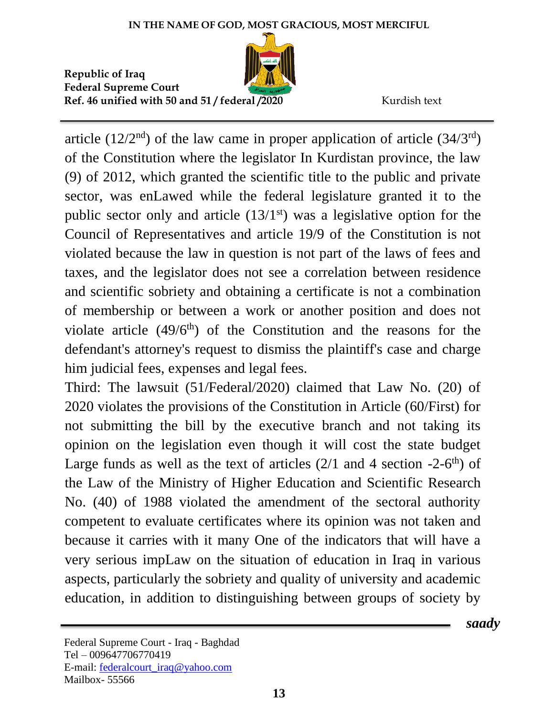

article  $(12/2<sup>nd</sup>)$  of the law came in proper application of article  $(34/3<sup>rd</sup>)$ of the Constitution where the legislator In Kurdistan province, the law (9) of 2012, which granted the scientific title to the public and private sector, was enLawed while the federal legislature granted it to the public sector only and article  $(13/1<sup>st</sup>)$  was a legislative option for the Council of Representatives and article 19/9 of the Constitution is not violated because the law in question is not part of the laws of fees and taxes, and the legislator does not see a correlation between residence and scientific sobriety and obtaining a certificate is not a combination of membership or between a work or another position and does not violate article  $(49/6<sup>th</sup>)$  of the Constitution and the reasons for the defendant's attorney's request to dismiss the plaintiff's case and charge him judicial fees, expenses and legal fees.

Third: The lawsuit (51/Federal/2020) claimed that Law No. (20) of 2020 violates the provisions of the Constitution in Article (60/First) for not submitting the bill by the executive branch and not taking its opinion on the legislation even though it will cost the state budget Large funds as well as the text of articles  $(2/1$  and 4 section  $-2-6$ <sup>th</sup>) of the Law of the Ministry of Higher Education and Scientific Research No. (40) of 1988 violated the amendment of the sectoral authority competent to evaluate certificates where its opinion was not taken and because it carries with it many One of the indicators that will have a very serious impLaw on the situation of education in Iraq in various aspects, particularly the sobriety and quality of university and academic education, in addition to distinguishing between groups of society by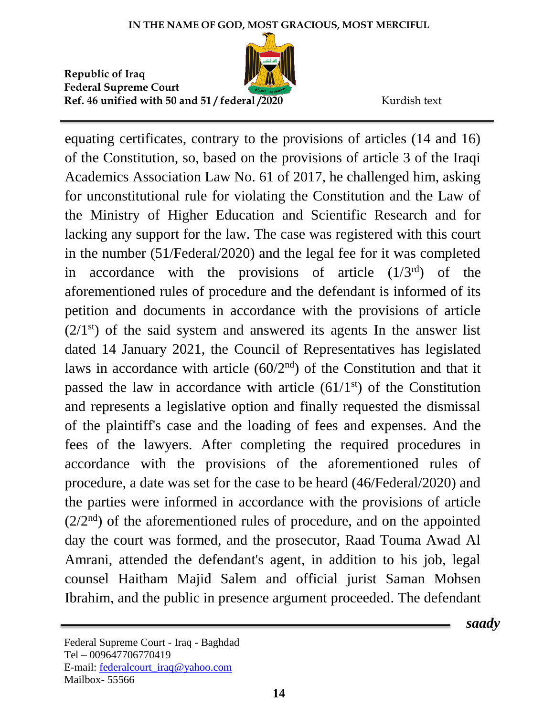

equating certificates, contrary to the provisions of articles (14 and 16) of the Constitution, so, based on the provisions of article 3 of the Iraqi Academics Association Law No. 61 of 2017, he challenged him, asking for unconstitutional rule for violating the Constitution and the Law of the Ministry of Higher Education and Scientific Research and for lacking any support for the law. The case was registered with this court in the number (51/Federal/2020) and the legal fee for it was completed in accordance with the provisions of article  $(1/3<sup>rd</sup>)$  of the aforementioned rules of procedure and the defendant is informed of its petition and documents in accordance with the provisions of article  $(2/1<sup>st</sup>)$  of the said system and answered its agents In the answer list dated 14 January 2021, the Council of Representatives has legislated laws in accordance with article  $(60/2<sup>nd</sup>)$  of the Constitution and that it passed the law in accordance with article  $(61/1<sup>st</sup>)$  of the Constitution and represents a legislative option and finally requested the dismissal of the plaintiff's case and the loading of fees and expenses. And the fees of the lawyers. After completing the required procedures in accordance with the provisions of the aforementioned rules of procedure, a date was set for the case to be heard (46/Federal/2020) and the parties were informed in accordance with the provisions of article  $(2/2<sup>nd</sup>)$  of the aforementioned rules of procedure, and on the appointed day the court was formed, and the prosecutor, Raad Touma Awad Al Amrani, attended the defendant's agent, in addition to his job, legal counsel Haitham Majid Salem and official jurist Saman Mohsen Ibrahim, and the public in presence argument proceeded. The defendant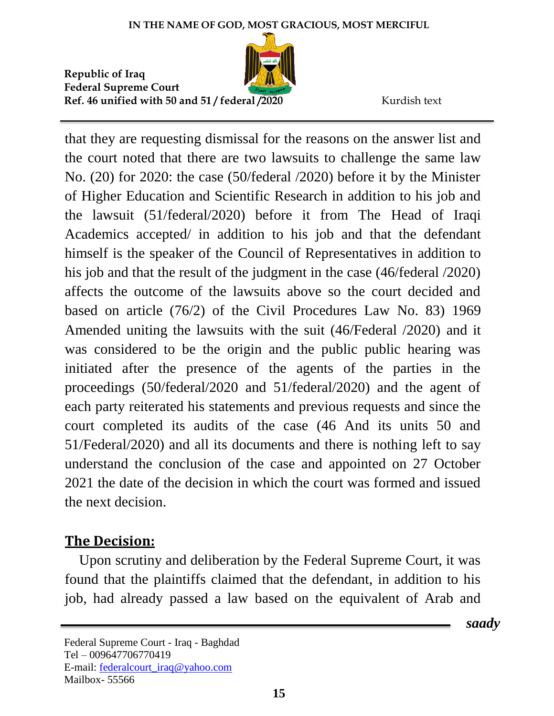

that they are requesting dismissal for the reasons on the answer list and the court noted that there are two lawsuits to challenge the same law No. (20) for 2020: the case (50/federal /2020) before it by the Minister of Higher Education and Scientific Research in addition to his job and the lawsuit (51/federal/2020) before it from The Head of Iraqi Academics accepted/ in addition to his job and that the defendant himself is the speaker of the Council of Representatives in addition to his job and that the result of the judgment in the case (46/federal /2020) affects the outcome of the lawsuits above so the court decided and based on article (76/2) of the Civil Procedures Law No. 83) 1969 Amended uniting the lawsuits with the suit (46/Federal /2020) and it was considered to be the origin and the public public hearing was initiated after the presence of the agents of the parties in the proceedings (50/federal/2020 and 51/federal/2020) and the agent of each party reiterated his statements and previous requests and since the court completed its audits of the case (46 And its units 50 and 51/Federal/2020) and all its documents and there is nothing left to say understand the conclusion of the case and appointed on 27 October 2021 the date of the decision in which the court was formed and issued the next decision.

## **The Decision:**

 Upon scrutiny and deliberation by the Federal Supreme Court, it was found that the plaintiffs claimed that the defendant, in addition to his job, had already passed a law based on the equivalent of Arab and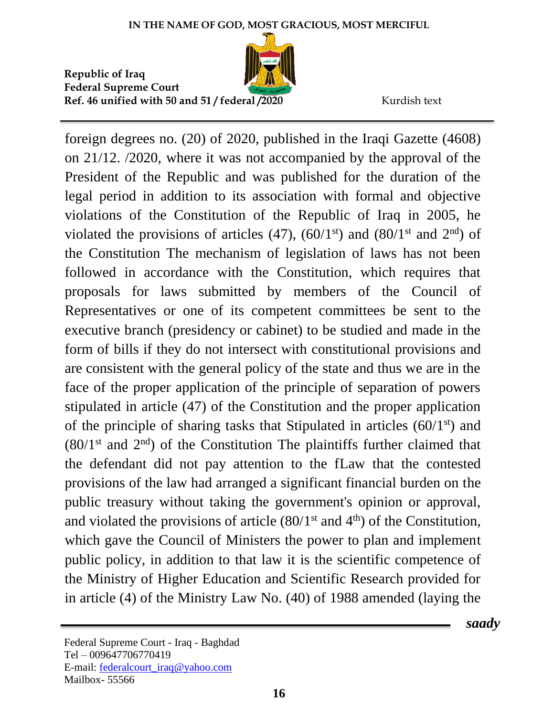

foreign degrees no. (20) of 2020, published in the Iraqi Gazette (4608) on 21/12. /2020, where it was not accompanied by the approval of the President of the Republic and was published for the duration of the legal period in addition to its association with formal and objective violations of the Constitution of the Republic of Iraq in 2005, he violated the provisions of articles  $(47)$ ,  $(60/1<sup>st</sup>)$  and  $(80/1<sup>st</sup>$  and  $2<sup>nd</sup>)$  of the Constitution The mechanism of legislation of laws has not been followed in accordance with the Constitution, which requires that proposals for laws submitted by members of the Council of Representatives or one of its competent committees be sent to the executive branch (presidency or cabinet) to be studied and made in the form of bills if they do not intersect with constitutional provisions and are consistent with the general policy of the state and thus we are in the face of the proper application of the principle of separation of powers stipulated in article (47) of the Constitution and the proper application of the principle of sharing tasks that Stipulated in articles  $(60/1<sup>st</sup>)$  and  $(80/1<sup>st</sup>$  and  $2<sup>nd</sup>)$  of the Constitution The plaintiffs further claimed that the defendant did not pay attention to the fLaw that the contested provisions of the law had arranged a significant financial burden on the public treasury without taking the government's opinion or approval, and violated the provisions of article  $(80/1<sup>st</sup>$  and  $4<sup>th</sup>)$  of the Constitution, which gave the Council of Ministers the power to plan and implement public policy, in addition to that law it is the scientific competence of the Ministry of Higher Education and Scientific Research provided for in article (4) of the Ministry Law No. (40) of 1988 amended (laying the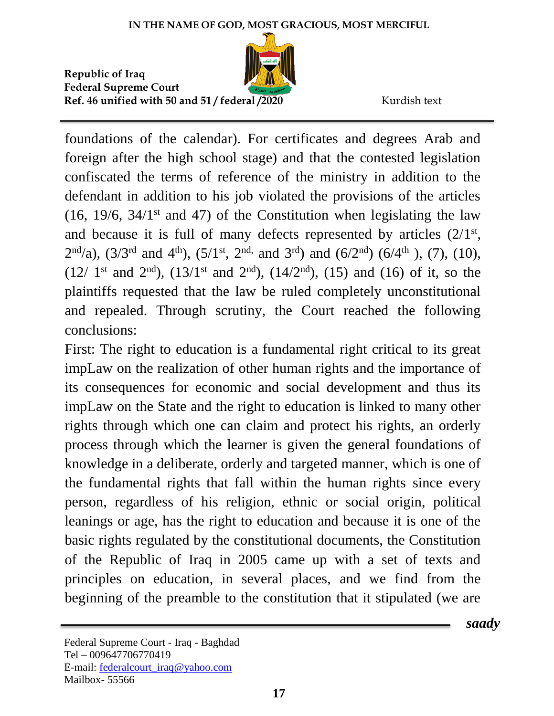

 *saady*

foundations of the calendar). For certificates and degrees Arab and foreign after the high school stage) and that the contested legislation confiscated the terms of reference of the ministry in addition to the defendant in addition to his job violated the provisions of the articles  $(16, 19/6, 34/1$ <sup>st</sup> and 47) of the Constitution when legislating the law and because it is full of many defects represented by articles  $(2/1<sup>st</sup>,$  $2<sup>nd</sup>/a$ ,  $(3/3<sup>rd</sup>$  and  $4<sup>th</sup>$ ),  $(5/1<sup>st</sup>, 2<sup>nd</sup>,$  and  $3<sup>rd</sup>)$  and  $(6/2<sup>nd</sup>)$   $(6/4<sup>th</sup>)$ ,  $(7)$ ,  $(10)$ ,  $(12/ 1<sup>st</sup>$  and  $2<sup>nd</sup>$ ),  $(13/1<sup>st</sup>$  and  $2<sup>nd</sup>)$ ,  $(14/2<sup>nd</sup>)$ ,  $(15)$  and  $(16)$  of it, so the plaintiffs requested that the law be ruled completely unconstitutional and repealed. Through scrutiny, the Court reached the following conclusions:

First: The right to education is a fundamental right critical to its great impLaw on the realization of other human rights and the importance of its consequences for economic and social development and thus its impLaw on the State and the right to education is linked to many other rights through which one can claim and protect his rights, an orderly process through which the learner is given the general foundations of knowledge in a deliberate, orderly and targeted manner, which is one of the fundamental rights that fall within the human rights since every person, regardless of his religion, ethnic or social origin, political leanings or age, has the right to education and because it is one of the basic rights regulated by the constitutional documents, the Constitution of the Republic of Iraq in 2005 came up with a set of texts and principles on education, in several places, and we find from the beginning of the preamble to the constitution that it stipulated (we are

Federal Supreme Court - Iraq - Baghdad Tel – 009647706770419 E-mail: [federalcourt\\_iraq@yahoo.com](mailto:federalcourt_iraq@yahoo.com) Mailbox- 55566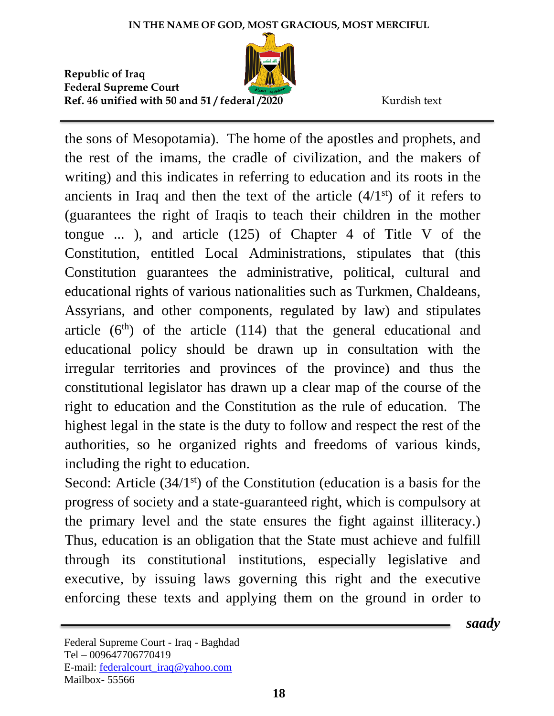

 *saady*

the sons of Mesopotamia). The home of the apostles and prophets, and the rest of the imams, the cradle of civilization, and the makers of writing) and this indicates in referring to education and its roots in the ancients in Iraq and then the text of the article  $(4/1<sup>st</sup>)$  of it refers to (guarantees the right of Iraqis to teach their children in the mother tongue ... ), and article (125) of Chapter 4 of Title V of the Constitution, entitled Local Administrations, stipulates that (this Constitution guarantees the administrative, political, cultural and educational rights of various nationalities such as Turkmen, Chaldeans, Assyrians, and other components, regulated by law) and stipulates article  $(6<sup>th</sup>)$  of the article  $(114)$  that the general educational and educational policy should be drawn up in consultation with the irregular territories and provinces of the province) and thus the constitutional legislator has drawn up a clear map of the course of the right to education and the Constitution as the rule of education. The highest legal in the state is the duty to follow and respect the rest of the authorities, so he organized rights and freedoms of various kinds, including the right to education.

Second: Article  $(34/1<sup>st</sup>)$  of the Constitution (education is a basis for the progress of society and a state-guaranteed right, which is compulsory at the primary level and the state ensures the fight against illiteracy.) Thus, education is an obligation that the State must achieve and fulfill through its constitutional institutions, especially legislative and executive, by issuing laws governing this right and the executive enforcing these texts and applying them on the ground in order to

Federal Supreme Court - Iraq - Baghdad Tel – 009647706770419 E-mail: [federalcourt\\_iraq@yahoo.com](mailto:federalcourt_iraq@yahoo.com) Mailbox- 55566

**18**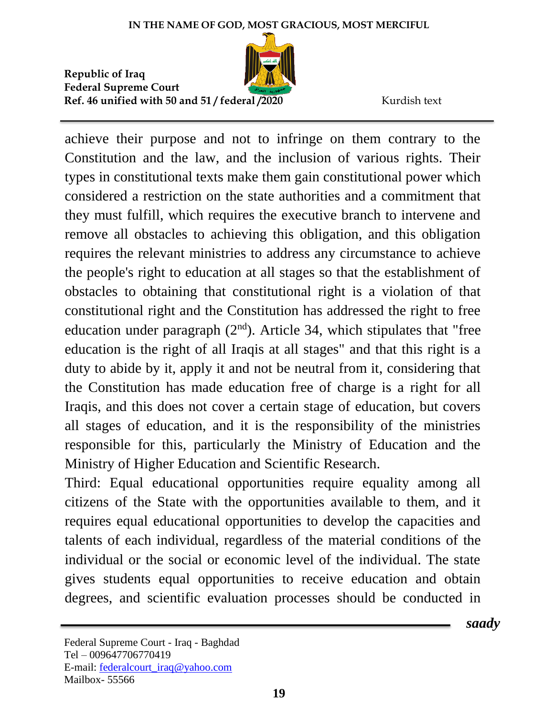

achieve their purpose and not to infringe on them contrary to the Constitution and the law, and the inclusion of various rights. Their types in constitutional texts make them gain constitutional power which considered a restriction on the state authorities and a commitment that they must fulfill, which requires the executive branch to intervene and remove all obstacles to achieving this obligation, and this obligation requires the relevant ministries to address any circumstance to achieve the people's right to education at all stages so that the establishment of obstacles to obtaining that constitutional right is a violation of that constitutional right and the Constitution has addressed the right to free education under paragraph  $(2<sup>nd</sup>)$ . Article 34, which stipulates that "free education is the right of all Iraqis at all stages" and that this right is a duty to abide by it, apply it and not be neutral from it, considering that the Constitution has made education free of charge is a right for all Iraqis, and this does not cover a certain stage of education, but covers all stages of education, and it is the responsibility of the ministries responsible for this, particularly the Ministry of Education and the Ministry of Higher Education and Scientific Research.

Third: Equal educational opportunities require equality among all citizens of the State with the opportunities available to them, and it requires equal educational opportunities to develop the capacities and talents of each individual, regardless of the material conditions of the individual or the social or economic level of the individual. The state gives students equal opportunities to receive education and obtain degrees, and scientific evaluation processes should be conducted in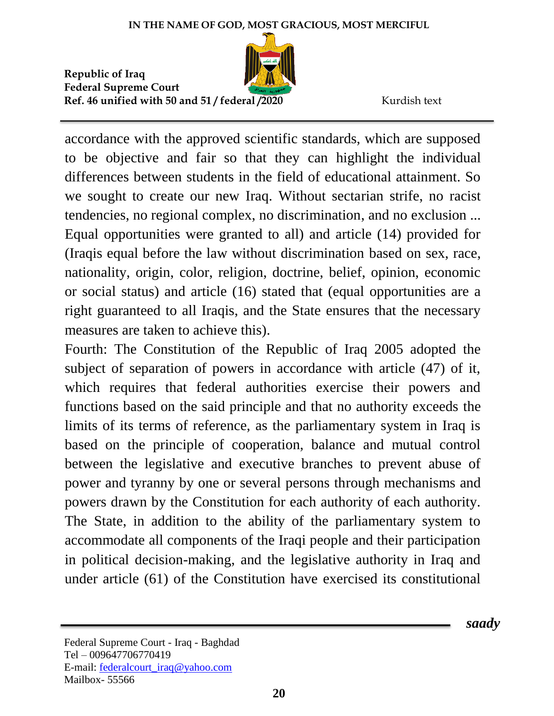

accordance with the approved scientific standards, which are supposed to be objective and fair so that they can highlight the individual differences between students in the field of educational attainment. So we sought to create our new Iraq. Without sectarian strife, no racist tendencies, no regional complex, no discrimination, and no exclusion ... Equal opportunities were granted to all) and article (14) provided for (Iraqis equal before the law without discrimination based on sex, race, nationality, origin, color, religion, doctrine, belief, opinion, economic or social status) and article (16) stated that (equal opportunities are a right guaranteed to all Iraqis, and the State ensures that the necessary measures are taken to achieve this).

Fourth: The Constitution of the Republic of Iraq 2005 adopted the subject of separation of powers in accordance with article (47) of it, which requires that federal authorities exercise their powers and functions based on the said principle and that no authority exceeds the limits of its terms of reference, as the parliamentary system in Iraq is based on the principle of cooperation, balance and mutual control between the legislative and executive branches to prevent abuse of power and tyranny by one or several persons through mechanisms and powers drawn by the Constitution for each authority of each authority. The State, in addition to the ability of the parliamentary system to accommodate all components of the Iraqi people and their participation in political decision-making, and the legislative authority in Iraq and under article (61) of the Constitution have exercised its constitutional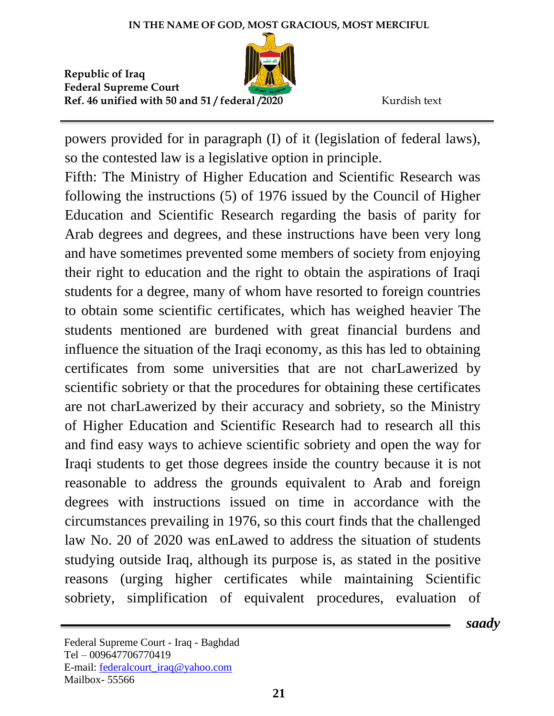

powers provided for in paragraph (I) of it (legislation of federal laws), so the contested law is a legislative option in principle.

Fifth: The Ministry of Higher Education and Scientific Research was following the instructions (5) of 1976 issued by the Council of Higher Education and Scientific Research regarding the basis of parity for Arab degrees and degrees, and these instructions have been very long and have sometimes prevented some members of society from enjoying their right to education and the right to obtain the aspirations of Iraqi students for a degree, many of whom have resorted to foreign countries to obtain some scientific certificates, which has weighed heavier The students mentioned are burdened with great financial burdens and influence the situation of the Iraqi economy, as this has led to obtaining certificates from some universities that are not charLawerized by scientific sobriety or that the procedures for obtaining these certificates are not charLawerized by their accuracy and sobriety, so the Ministry of Higher Education and Scientific Research had to research all this and find easy ways to achieve scientific sobriety and open the way for Iraqi students to get those degrees inside the country because it is not reasonable to address the grounds equivalent to Arab and foreign degrees with instructions issued on time in accordance with the circumstances prevailing in 1976, so this court finds that the challenged law No. 20 of 2020 was enLawed to address the situation of students studying outside Iraq, although its purpose is, as stated in the positive reasons (urging higher certificates while maintaining Scientific sobriety, simplification of equivalent procedures, evaluation of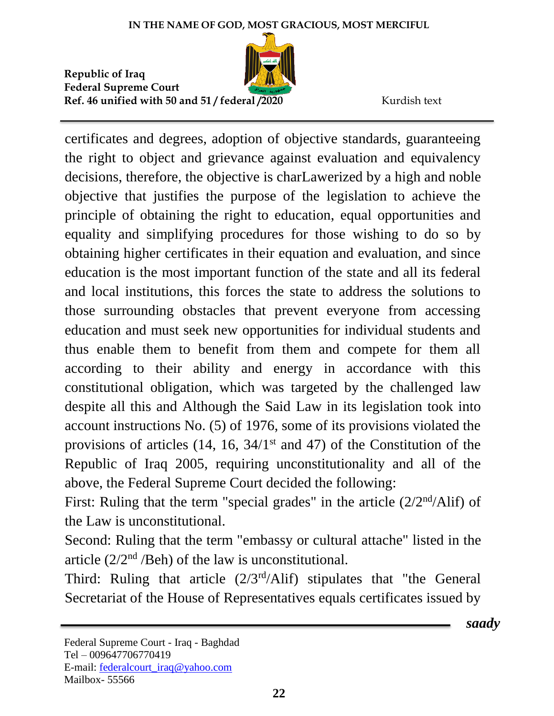

certificates and degrees, adoption of objective standards, guaranteeing the right to object and grievance against evaluation and equivalency decisions, therefore, the objective is charLawerized by a high and noble objective that justifies the purpose of the legislation to achieve the principle of obtaining the right to education, equal opportunities and equality and simplifying procedures for those wishing to do so by obtaining higher certificates in their equation and evaluation, and since education is the most important function of the state and all its federal and local institutions, this forces the state to address the solutions to those surrounding obstacles that prevent everyone from accessing education and must seek new opportunities for individual students and thus enable them to benefit from them and compete for them all according to their ability and energy in accordance with this constitutional obligation, which was targeted by the challenged law despite all this and Although the Said Law in its legislation took into account instructions No. (5) of 1976, some of its provisions violated the provisions of articles  $(14, 16, 34/1<sup>st</sup>$  and 47) of the Constitution of the Republic of Iraq 2005, requiring unconstitutionality and all of the above, the Federal Supreme Court decided the following:

First: Ruling that the term "special grades" in the article  $(2/2<sup>nd</sup>/Alif)$  of the Law is unconstitutional.

Second: Ruling that the term "embassy or cultural attache" listed in the article  $(2/2<sup>nd</sup>/Beh)$  of the law is unconstitutional.

Third: Ruling that article (2/3rd/Alif) stipulates that "the General Secretariat of the House of Representatives equals certificates issued by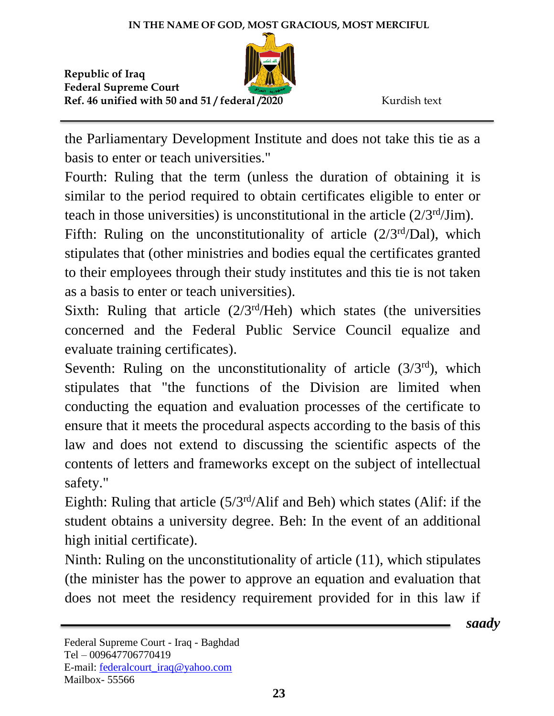

the Parliamentary Development Institute and does not take this tie as a basis to enter or teach universities."

Fourth: Ruling that the term (unless the duration of obtaining it is similar to the period required to obtain certificates eligible to enter or teach in those universities) is unconstitutional in the article  $(2/3<sup>rd</sup>/Jim)$ .

Fifth: Ruling on the unconstitutionality of article  $(2/3<sup>rd</sup>/Dal)$ , which stipulates that (other ministries and bodies equal the certificates granted to their employees through their study institutes and this tie is not taken as a basis to enter or teach universities).

Sixth: Ruling that article  $(2/3<sup>rd</sup>/Heh)$  which states (the universities concerned and the Federal Public Service Council equalize and evaluate training certificates).

Seventh: Ruling on the unconstitutionality of article  $(3/3<sup>rd</sup>)$ , which stipulates that "the functions of the Division are limited when conducting the equation and evaluation processes of the certificate to ensure that it meets the procedural aspects according to the basis of this law and does not extend to discussing the scientific aspects of the contents of letters and frameworks except on the subject of intellectual safety."

Eighth: Ruling that article  $(5/3<sup>rd</sup>/Alif and Beh)$  which states (Alif: if the student obtains a university degree. Beh: In the event of an additional high initial certificate).

Ninth: Ruling on the unconstitutionality of article (11), which stipulates (the minister has the power to approve an equation and evaluation that does not meet the residency requirement provided for in this law if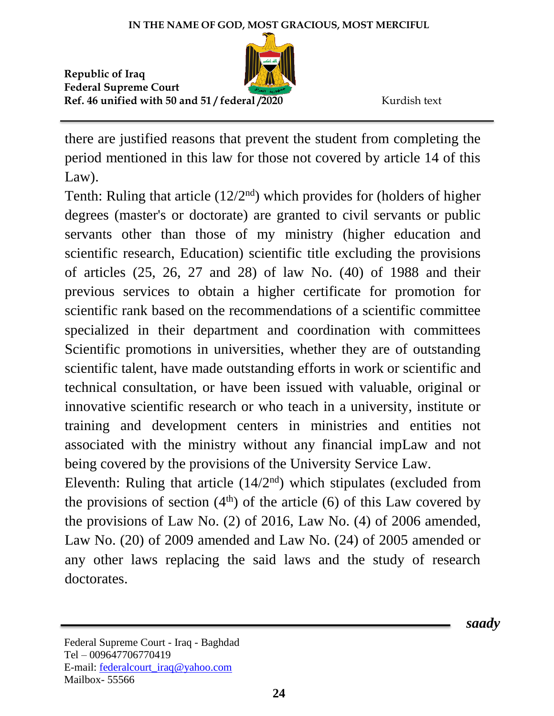

there are justified reasons that prevent the student from completing the period mentioned in this law for those not covered by article 14 of this Law).

Tenth: Ruling that article  $(12/2<sup>nd</sup>)$  which provides for (holders of higher degrees (master's or doctorate) are granted to civil servants or public servants other than those of my ministry (higher education and scientific research, Education) scientific title excluding the provisions of articles (25, 26, 27 and 28) of law No. (40) of 1988 and their previous services to obtain a higher certificate for promotion for scientific rank based on the recommendations of a scientific committee specialized in their department and coordination with committees Scientific promotions in universities, whether they are of outstanding scientific talent, have made outstanding efforts in work or scientific and technical consultation, or have been issued with valuable, original or innovative scientific research or who teach in a university, institute or training and development centers in ministries and entities not associated with the ministry without any financial impLaw and not being covered by the provisions of the University Service Law.

Eleventh: Ruling that article  $(14/2<sup>nd</sup>)$  which stipulates (excluded from the provisions of section  $(4<sup>th</sup>)$  of the article (6) of this Law covered by the provisions of Law No. (2) of 2016, Law No. (4) of 2006 amended, Law No. (20) of 2009 amended and Law No. (24) of 2005 amended or any other laws replacing the said laws and the study of research doctorates.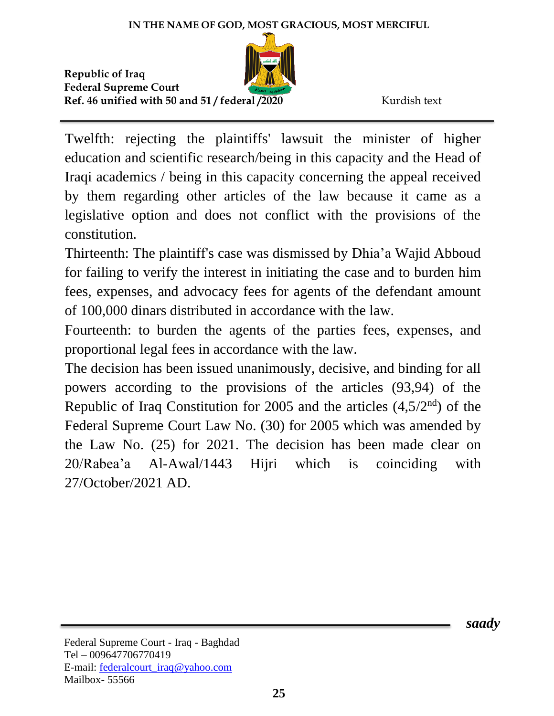

Twelfth: rejecting the plaintiffs' lawsuit the minister of higher education and scientific research/being in this capacity and the Head of Iraqi academics / being in this capacity concerning the appeal received by them regarding other articles of the law because it came as a legislative option and does not conflict with the provisions of the constitution.

Thirteenth: The plaintiff's case was dismissed by Dhia'a Wajid Abboud for failing to verify the interest in initiating the case and to burden him fees, expenses, and advocacy fees for agents of the defendant amount of 100,000 dinars distributed in accordance with the law.

Fourteenth: to burden the agents of the parties fees, expenses, and proportional legal fees in accordance with the law.

The decision has been issued unanimously, decisive, and binding for all powers according to the provisions of the articles (93,94) of the Republic of Iraq Constitution for 2005 and the articles  $(4,5/2<sup>nd</sup>)$  of the Federal Supreme Court Law No. (30) for 2005 which was amended by the Law No. (25) for 2021. The decision has been made clear on 20/Rabea'a Al-Awal/1443 Hijri which is coinciding with 27/October/2021 AD.